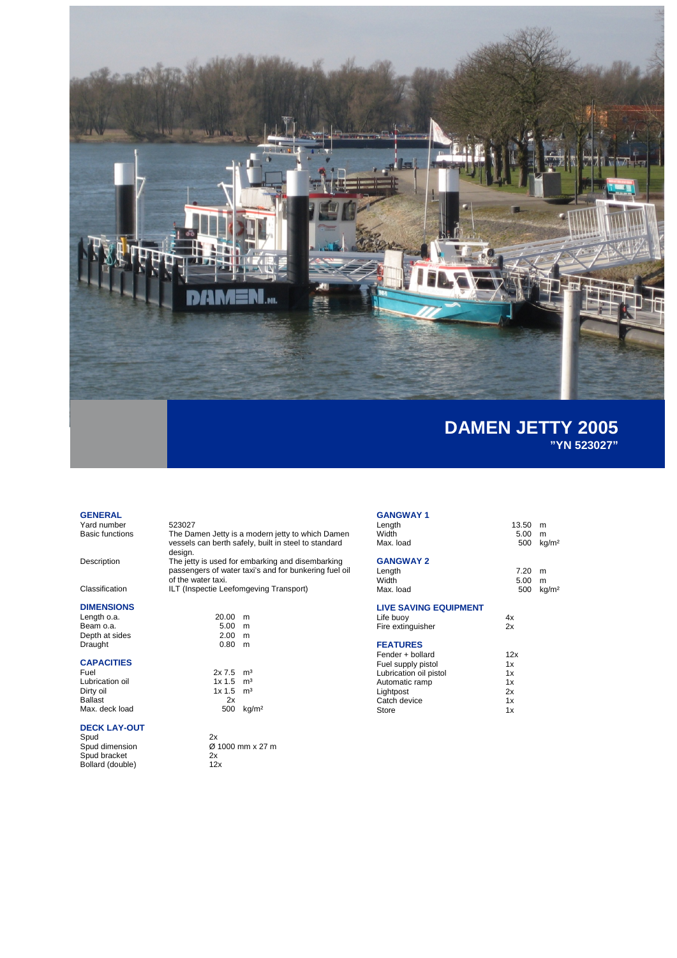

### **GENERAL**

Yard number 523027<br>Basic functions The Dar

# **DIMENSIONS**

**CAPACITIES** Lubrication oil and the 1x 1.5 m<sup>3</sup> Dirty oil **1x 1.5** m<sup>3</sup> Ballast 2x Max. deck load 500 kg/m<sup>2</sup>

# **DECK LAY-OUT**

Spud<br>Spud dimension Spud bracket 2x Bollard (double) 12x

The Damen Jetty is a modern jetty to which Damen vessels can berth safely, built in steel to standard design.

Description The jetty is used for embarking and disembarking passengers of water taxi's and for bunkering fuel oil of the water taxi.

Classification ILT (Inspectie Leefomgeving Transport)

| Length o.a.    | 20.00 | m |
|----------------|-------|---|
| Beam o.a.      | 5.00  | m |
| Depth at sides | 2.00  | m |
| Draught        | 0.80  | m |
|                |       |   |
|                |       |   |

 $2x 7.5 m<sup>3</sup>$ <br> $1x 1.5 m<sup>3</sup>$ <br> $1x 1.5 m<sup>3</sup>$ 

2x<br>Ø 1000 mm x 27 m<br>2x<br>12x

# **GANGWAY 1**

| Length<br>Width              | 13.50       | m                 |
|------------------------------|-------------|-------------------|
| Max. load                    | 5.00<br>500 | m                 |
|                              |             | kg/m <sup>2</sup> |
| <b>GANGWAY 2</b>             |             |                   |
| Length                       | 7.20        | m                 |
| Width                        | 5.00        | m                 |
| Max. load                    | 500         | kg/m <sup>2</sup> |
|                              |             |                   |
| <b>LIVE SAVING EQUIPMENT</b> |             |                   |
| Life buoy                    | 4x          |                   |
| Fire extinguisher            | 2x          |                   |
|                              |             |                   |
| <b>FEATURES</b>              |             |                   |
| Fender + bollard             | 12x         |                   |
| Fuel supply pistol           | 1x          |                   |
| Lubrication oil pistol       | 1x          |                   |
| Automatic ramp               | 1x          |                   |
| Lightpost                    | 2x          |                   |
| Catch device                 | 1x          |                   |
| Store                        | 1x          |                   |
|                              |             |                   |